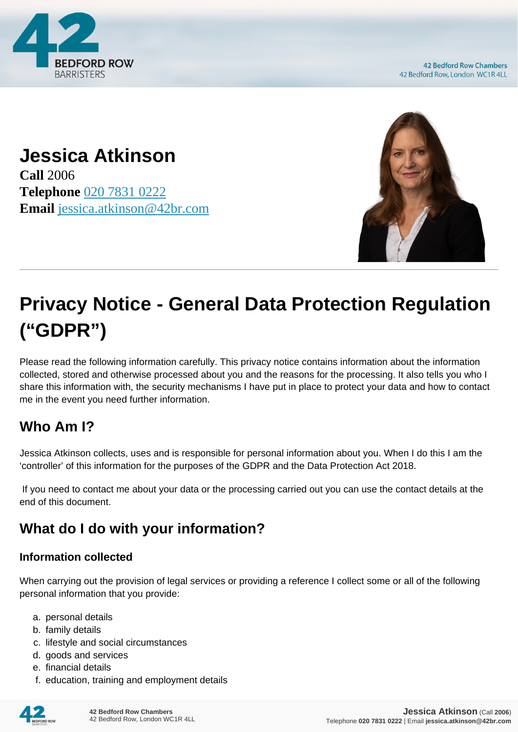

**42 Bedford Row Chambers** 42 Bedford Row, London WC1R 4LL

#### **Jessica Atkinson Call** 2006 **Telephone** [020 7831 0222](https://pdf.codeshore.co/_42br/tel:020 7831 0222) **Email** [jessica.atkinson@42br.com](mailto:jessica.atkinson@42br.com)



# **Privacy Notice - General Data Protection Regulation ("GDPR")**

Please read the following information carefully. This privacy notice contains information about the information collected, stored and otherwise processed about you and the reasons for the processing. It also tells you who I share this information with, the security mechanisms I have put in place to protect your data and how to contact me in the event you need further information.

# **Who Am I?**

Jessica Atkinson collects, uses and is responsible for personal information about you. When I do this I am the 'controller' of this information for the purposes of the GDPR and the Data Protection Act 2018.

 If you need to contact me about your data or the processing carried out you can use the contact details at the end of this document.

# **What do I do with your information?**

#### **Information collected**

When carrying out the provision of legal services or providing a reference I collect some or all of the following personal information that you provide:

- a. personal details
- b. family details
- c. lifestyle and social circumstances
- d. goods and services
- e. financial details
- f. education, training and employment details

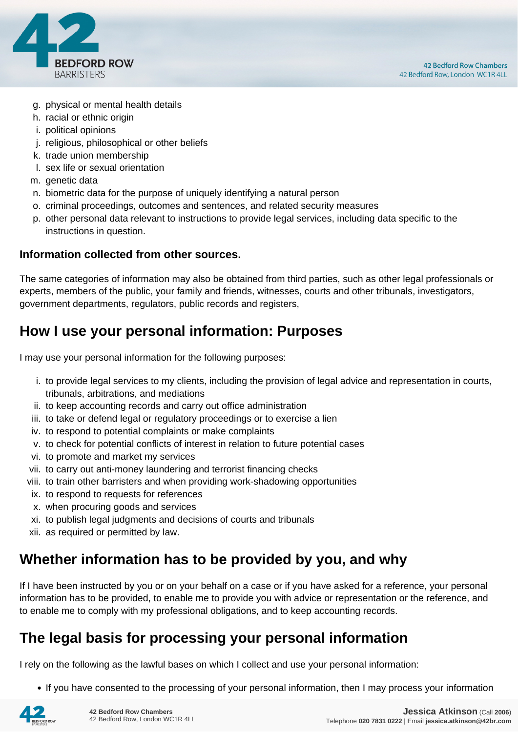

- g. physical or mental health details
- h. racial or ethnic origin
- i. political opinions
- j. religious, philosophical or other beliefs
- k. trade union membership
- l. sex life or sexual orientation
- m. genetic data
- n. biometric data for the purpose of uniquely identifying a natural person
- o. criminal proceedings, outcomes and sentences, and related security measures
- p. other personal data relevant to instructions to provide legal services, including data specific to the instructions in question.

#### **Information collected from other sources.**

The same categories of information may also be obtained from third parties, such as other legal professionals or experts, members of the public, your family and friends, witnesses, courts and other tribunals, investigators, government departments, regulators, public records and registers,

#### **How I use your personal information: Purposes**

I may use your personal information for the following purposes:

- i. to provide legal services to my clients, including the provision of legal advice and representation in courts, tribunals, arbitrations, and mediations
- ii. to keep accounting records and carry out office administration
- iii. to take or defend legal or regulatory proceedings or to exercise a lien
- iv. to respond to potential complaints or make complaints
- v. to check for potential conflicts of interest in relation to future potential cases
- vi. to promote and market my services
- vii. to carry out anti-money laundering and terrorist financing checks
- viii. to train other barristers and when providing work-shadowing opportunities
- ix. to respond to requests for references
- x. when procuring goods and services
- xi. to publish legal judgments and decisions of courts and tribunals
- xii. as required or permitted by law.

#### **Whether information has to be provided by you, and why**

If I have been instructed by you or on your behalf on a case or if you have asked for a reference, your personal information has to be provided, to enable me to provide you with advice or representation or the reference, and to enable me to comply with my professional obligations, and to keep accounting records.

#### **The legal basis for processing your personal information**

I rely on the following as the lawful bases on which I collect and use your personal information:

• If you have consented to the processing of your personal information, then I may process your information

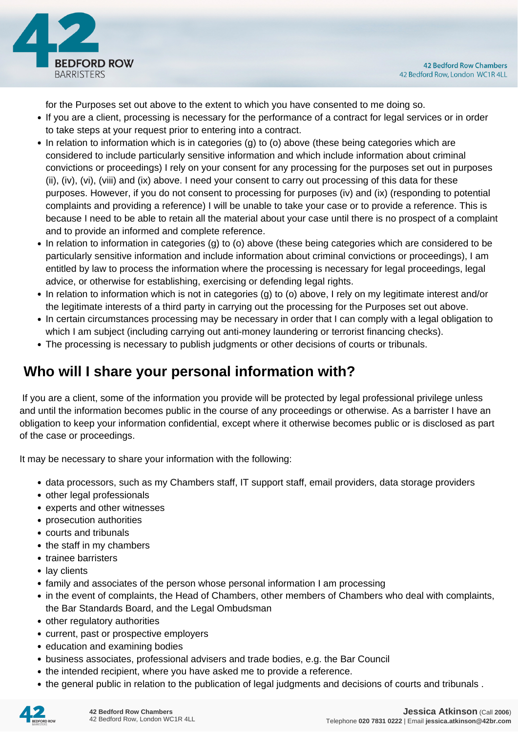

for the Purposes set out above to the extent to which you have consented to me doing so.

- If you are a client, processing is necessary for the performance of a contract for legal services or in order to take steps at your request prior to entering into a contract.
- In relation to information which is in categories (g) to (o) above (these being categories which are considered to include particularly sensitive information and which include information about criminal convictions or proceedings) I rely on your consent for any processing for the purposes set out in purposes (ii), (iv), (vi), (viii) and (ix) above. I need your consent to carry out processing of this data for these purposes. However, if you do not consent to processing for purposes (iv) and (ix) (responding to potential complaints and providing a reference) I will be unable to take your case or to provide a reference. This is because I need to be able to retain all the material about your case until there is no prospect of a complaint and to provide an informed and complete reference.
- In relation to information in categories (g) to (o) above (these being categories which are considered to be particularly sensitive information and include information about criminal convictions or proceedings), I am entitled by law to process the information where the processing is necessary for legal proceedings, legal advice, or otherwise for establishing, exercising or defending legal rights.
- In relation to information which is not in categories (g) to (o) above, I rely on my legitimate interest and/or the legitimate interests of a third party in carrying out the processing for the Purposes set out above.
- In certain circumstances processing may be necessary in order that I can comply with a legal obligation to which I am subject (including carrying out anti-money laundering or terrorist financing checks).
- The processing is necessary to publish judgments or other decisions of courts or tribunals.

## **Who will I share your personal information with?**

 If you are a client, some of the information you provide will be protected by legal professional privilege unless and until the information becomes public in the course of any proceedings or otherwise. As a barrister I have an obligation to keep your information confidential, except where it otherwise becomes public or is disclosed as part of the case or proceedings.

It may be necessary to share your information with the following:

- data processors, such as my Chambers staff, IT support staff, email providers, data storage providers
- other legal professionals
- experts and other witnesses
- prosecution authorities
- courts and tribunals
- the staff in my chambers
- trainee barristers
- lay clients
- family and associates of the person whose personal information I am processing
- in the event of complaints, the Head of Chambers, other members of Chambers who deal with complaints, the Bar Standards Board, and the Legal Ombudsman
- other regulatory authorities
- current, past or prospective employers
- education and examining bodies
- business associates, professional advisers and trade bodies, e.g. the Bar Council
- the intended recipient, where you have asked me to provide a reference.
- the general public in relation to the publication of legal judgments and decisions of courts and tribunals .

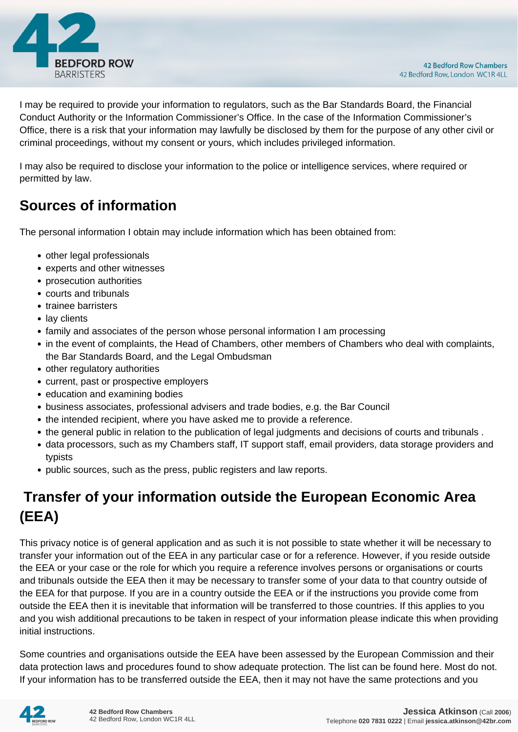

I may be required to provide your information to regulators, such as the Bar Standards Board, the Financial Conduct Authority or the Information Commissioner's Office. In the case of the Information Commissioner's Office, there is a risk that your information may lawfully be disclosed by them for the purpose of any other civil or criminal proceedings, without my consent or yours, which includes privileged information.

I may also be required to disclose your information to the police or intelligence services, where required or permitted by law.

#### **Sources of information**

The personal information I obtain may include information which has been obtained from:

- other legal professionals
- experts and other witnesses
- prosecution authorities
- courts and tribunals
- trainee barristers
- lay clients
- family and associates of the person whose personal information I am processing
- in the event of complaints, the Head of Chambers, other members of Chambers who deal with complaints, the Bar Standards Board, and the Legal Ombudsman
- other regulatory authorities
- current, past or prospective employers
- education and examining bodies
- business associates, professional advisers and trade bodies, e.g. the Bar Council
- the intended recipient, where you have asked me to provide a reference.
- the general public in relation to the publication of legal judgments and decisions of courts and tribunals .
- data processors, such as my Chambers staff, IT support staff, email providers, data storage providers and typists
- public sources, such as the press, public registers and law reports.

# **Transfer of your information outside the European Economic Area (EEA)**

This privacy notice is of general application and as such it is not possible to state whether it will be necessary to transfer your information out of the EEA in any particular case or for a reference. However, if you reside outside the EEA or your case or the role for which you require a reference involves persons or organisations or courts and tribunals outside the EEA then it may be necessary to transfer some of your data to that country outside of the EEA for that purpose. If you are in a country outside the EEA or if the instructions you provide come from outside the EEA then it is inevitable that information will be transferred to those countries. If this applies to you and you wish additional precautions to be taken in respect of your information please indicate this when providing initial instructions.

Some countries and organisations outside the EEA have been assessed by the European Commission and their data protection laws and procedures found to show adequate protection. The list can be found here. Most do not. If your information has to be transferred outside the EEA, then it may not have the same protections and you

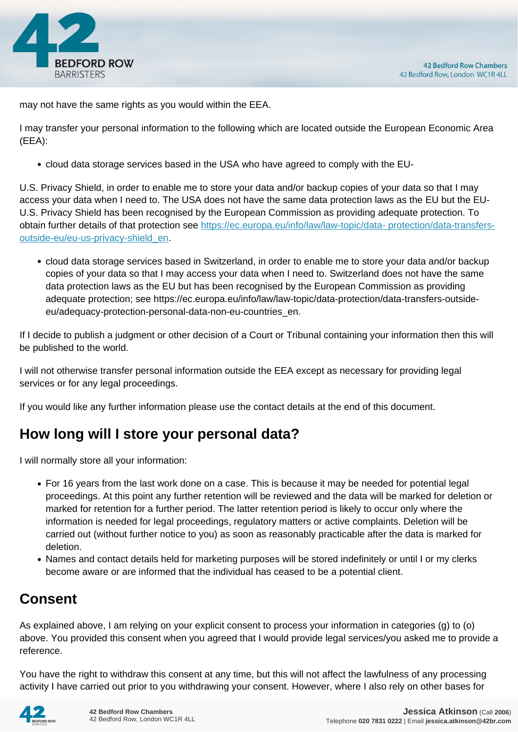

may not have the same rights as you would within the EEA.

I may transfer your personal information to the following which are located outside the European Economic Area (EEA):

cloud data storage services based in the USA who have agreed to comply with the EU-

U.S. Privacy Shield, in order to enable me to store your data and/or backup copies of your data so that I may access your data when I need to. The USA does not have the same data protection laws as the EU but the EU-U.S. Privacy Shield has been recognised by the European Commission as providing adequate protection. To obtain further details of that protection see [https://ec.europa.eu/info/law/law-topic/data- protection/data-transfers](https://ec.europa.eu/info/law/law-topic/data- protection/data-transfers-outside-eu/eu-us-privacy-shield_en)[outside-eu/eu-us-privacy-shield\\_en.](https://ec.europa.eu/info/law/law-topic/data- protection/data-transfers-outside-eu/eu-us-privacy-shield_en)

cloud data storage services based in Switzerland, in order to enable me to store your data and/or backup copies of your data so that I may access your data when I need to. Switzerland does not have the same data protection laws as the EU but has been recognised by the European Commission as providing adequate protection; see https://ec.europa.eu/info/law/law-topic/data-protection/data-transfers-outsideeu/adequacy-protection-personal-data-non-eu-countries\_en.

If I decide to publish a judgment or other decision of a Court or Tribunal containing your information then this will be published to the world.

I will not otherwise transfer personal information outside the EEA except as necessary for providing legal services or for any legal proceedings.

If you would like any further information please use the contact details at the end of this document.

## **How long will I store your personal data?**

I will normally store all your information:

- For 16 years from the last work done on a case. This is because it may be needed for potential legal proceedings. At this point any further retention will be reviewed and the data will be marked for deletion or marked for retention for a further period. The latter retention period is likely to occur only where the information is needed for legal proceedings, regulatory matters or active complaints. Deletion will be carried out (without further notice to you) as soon as reasonably practicable after the data is marked for deletion.
- Names and contact details held for marketing purposes will be stored indefinitely or until I or my clerks become aware or are informed that the individual has ceased to be a potential client.

## **Consent**

As explained above, I am relying on your explicit consent to process your information in categories (g) to (o) above. You provided this consent when you agreed that I would provide legal services/you asked me to provide a reference.

You have the right to withdraw this consent at any time, but this will not affect the lawfulness of any processing activity I have carried out prior to you withdrawing your consent. However, where I also rely on other bases for

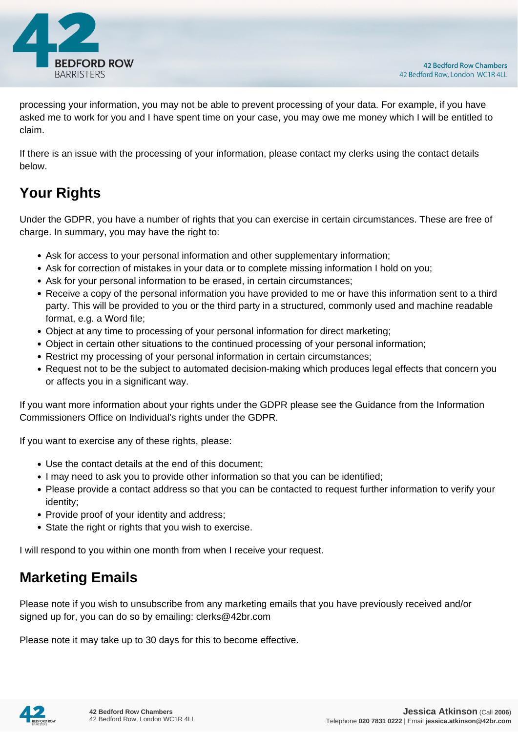

processing your information, you may not be able to prevent processing of your data. For example, if you have asked me to work for you and I have spent time on your case, you may owe me money which I will be entitled to claim.

If there is an issue with the processing of your information, please contact my clerks using the contact details below.

# **Your Rights**

Under the GDPR, you have a number of rights that you can exercise in certain circumstances. These are free of charge. In summary, you may have the right to:

- Ask for access to your personal information and other supplementary information;
- Ask for correction of mistakes in your data or to complete missing information I hold on you;
- Ask for your personal information to be erased, in certain circumstances;
- Receive a copy of the personal information you have provided to me or have this information sent to a third party. This will be provided to you or the third party in a structured, commonly used and machine readable format, e.g. a Word file;
- Object at any time to processing of your personal information for direct marketing;
- Object in certain other situations to the continued processing of your personal information;
- Restrict my processing of your personal information in certain circumstances;
- Request not to be the subject to automated decision-making which produces legal effects that concern you or affects you in a significant way.

If you want more information about your rights under the GDPR please see the Guidance from the Information Commissioners Office on Individual's rights under the GDPR.

If you want to exercise any of these rights, please:

- Use the contact details at the end of this document;
- I may need to ask you to provide other information so that you can be identified;
- Please provide a contact address so that you can be contacted to request further information to verify your identity;
- Provide proof of your identity and address;
- State the right or rights that you wish to exercise.

I will respond to you within one month from when I receive your request.

#### **Marketing Emails**

Please note if you wish to unsubscribe from any marketing emails that you have previously received and/or signed up for, you can do so by emailing: clerks@42br.com

Please note it may take up to 30 days for this to become effective.